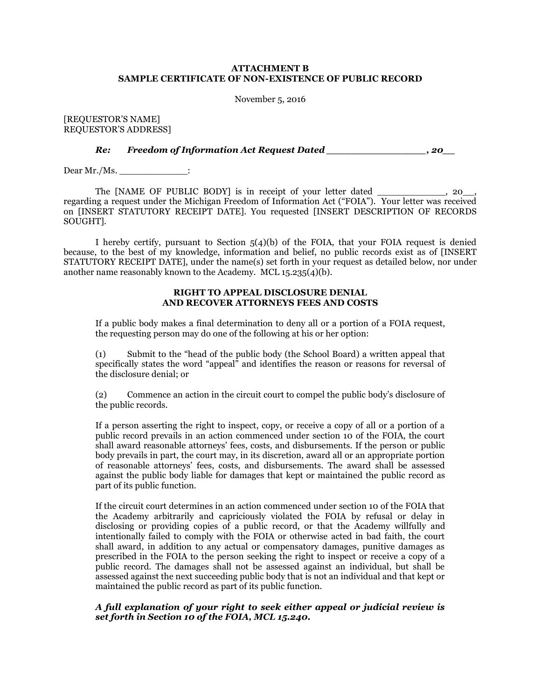## **ATTACHMENT B SAMPLE CERTIFICATE OF NON-EXISTENCE OF PUBLIC RECORD**

November 5, 2016

[REQUESTOR'S NAME] REQUESTOR'S ADDRESS]

## *Re: Freedom of Information Act Request Dated \_\_\_\_\_\_\_\_\_\_\_\_\_\_\_\_, 20\_\_*

Dear Mr./Ms. \_\_\_\_\_\_\_\_\_\_\_\_:

The [NAME OF PUBLIC BODY] is in receipt of your letter dated \_\_\_\_\_\_\_\_\_\_, 20\_, regarding a request under the Michigan Freedom of Information Act ("FOIA"). Your letter was received on [INSERT STATUTORY RECEIPT DATE]. You requested [INSERT DESCRIPTION OF RECORDS SOUGHT].

I hereby certify, pursuant to Section  $5(4)(b)$  of the FOIA, that your FOIA request is denied because, to the best of my knowledge, information and belief, no public records exist as of [INSERT STATUTORY RECEIPT DATE], under the name(s) set forth in your request as detailed below, nor under another name reasonably known to the Academy. MCL 15.235(4)(b).

## **RIGHT TO APPEAL DISCLOSURE DENIAL AND RECOVER ATTORNEYS FEES AND COSTS**

If a public body makes a final determination to deny all or a portion of a FOIA request, the requesting person may do one of the following at his or her option:

(1) Submit to the "head of the public body (the School Board) a written appeal that specifically states the word "appeal" and identifies the reason or reasons for reversal of the disclosure denial; or

(2) Commence an action in the circuit court to compel the public body's disclosure of the public records.

If a person asserting the right to inspect, copy, or receive a copy of all or a portion of a public record prevails in an action commenced under section 10 of the FOIA, the court shall award reasonable attorneys' fees, costs, and disbursements. If the person or public body prevails in part, the court may, in its discretion, award all or an appropriate portion of reasonable attorneys' fees, costs, and disbursements. The award shall be assessed against the public body liable for damages that kept or maintained the public record as part of its public function.

If the circuit court determines in an action commenced under section 10 of the FOIA that the Academy arbitrarily and capriciously violated the FOIA by refusal or delay in disclosing or providing copies of a public record, or that the Academy willfully and intentionally failed to comply with the FOIA or otherwise acted in bad faith, the court shall award, in addition to any actual or compensatory damages, punitive damages as prescribed in the FOIA to the person seeking the right to inspect or receive a copy of a public record. The damages shall not be assessed against an individual, but shall be assessed against the next succeeding public body that is not an individual and that kept or maintained the public record as part of its public function.

## *A full explanation of your right to seek either appeal or judicial review is set forth in Section 10 of the FOIA, MCL 15.240.*